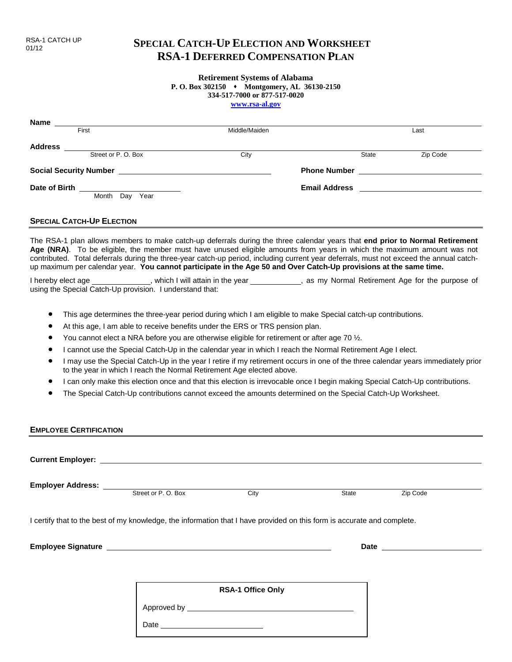# **SPECIAL CATCH-UP ELECTION AND WORKSHEET RSA-1 DEFERRED COMPENSATION PLAN**

## **Retirement Systems of Alabama**

**P. O. Box 302150 Montgomery, AL 36130-2150**

**334-517-7000 or 877-517-0020**

**www.rsa-al.gov**

| Name                          |                     |      |               |                      |          |
|-------------------------------|---------------------|------|---------------|----------------------|----------|
| First                         |                     |      | Middle/Maiden |                      | Last     |
| <b>Address</b>                |                     |      |               |                      |          |
|                               | Street or P. O. Box |      | City          | State                | Zip Code |
| <b>Social Security Number</b> |                     |      |               | <b>Phone Number</b>  |          |
| Date of Birth                 |                     |      |               | <b>Email Address</b> |          |
|                               | Month<br>Day        | Year |               |                      |          |

#### **SPECIAL CATCH-UP ELECTION**

The RSA-1 plan allows members to make catch-up deferrals during the three calendar years that **end prior to Normal Retirement Age (NRA)**. To be eligible, the member must have unused eligible amounts from years in which the maximum amount was not contributed. Total deferrals during the three-year catch-up period, including current year deferrals, must not exceed the annual catchup maximum per calendar year. **You cannot participate in the Age 50 and Over Catch-Up provisions at the same time.**

I hereby elect age \_\_\_\_\_\_\_\_\_\_\_\_\_, which I will attain in the year \_\_\_\_\_\_\_\_\_\_\_\_, as my Normal Retirement Age for the purpose of using the Special Catch-Up provision. I understand that:

- This age determines the three-year period during which I am eligible to make Special catch-up contributions.
- At this age, I am able to receive benefits under the ERS or TRS pension plan.
- You cannot elect a NRA before you are otherwise eligible for retirement or after age 70 ½.
- I cannot use the Special Catch-Up in the calendar year in which I reach the Normal Retirement Age I elect.
- I may use the Special Catch-Up in the year I retire if my retirement occurs in one of the three calendar years immediately prior to the year in which I reach the Normal Retirement Age elected above.
- I can only make this election once and that this election is irrevocable once I begin making Special Catch-Up contributions.
- The Special Catch-Up contributions cannot exceed the amounts determined on the Special Catch-Up Worksheet.

### **EMPLOYEE CERTIFICATION**

| <b>Current Employer:</b> The contract of the contract of the contract of the contract of the contract of the contract of the contract of the contract of the contract of the contract of the contract of the contract of the contra |      |       |          |
|-------------------------------------------------------------------------------------------------------------------------------------------------------------------------------------------------------------------------------------|------|-------|----------|
|                                                                                                                                                                                                                                     |      |       |          |
| Street or P.O. Box                                                                                                                                                                                                                  | City | State | Zip Code |
| I certify that to the best of my knowledge, the information that I have provided on this form is accurate and complete.                                                                                                             |      |       |          |
| Employee Signature League and Contract and Contract and Contract and Contract and Contract and Contract and Co                                                                                                                      |      |       |          |
|                                                                                                                                                                                                                                     |      |       |          |

Date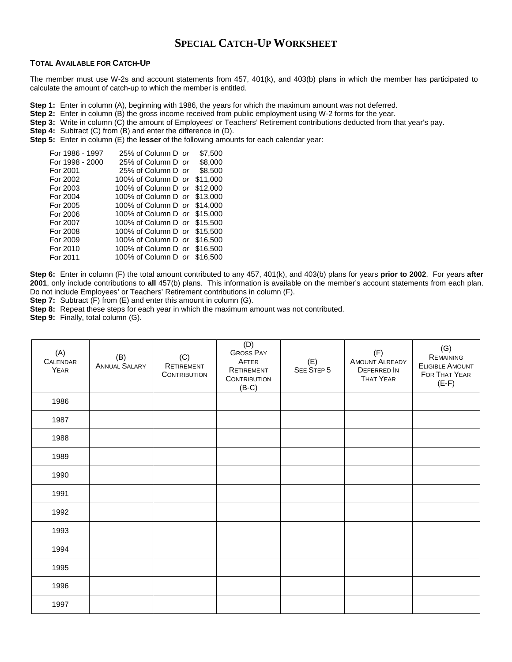## **SPECIAL CATCH-UP WORKSHEET**

#### **TOTAL AVAILABLE FOR CATCH-UP**

The member must use W-2s and account statements from 457, 401(k), and 403(b) plans in which the member has participated to calculate the amount of catch-up to which the member is entitled.

- **Step 1:** Enter in column (A), beginning with 1986, the years for which the maximum amount was not deferred.
- **Step 2:** Enter in column (B) the gross income received from public employment using W-2 forms for the year.
- **Step 3:** Write in column (C) the amount of Employees' or Teachers' Retirement contributions deducted from that year's pay.
- **Step 4:** Subtract (C) from (B) and enter the difference in (D).
- **Step 5:** Enter in column (E) the **lesser** of the following amounts for each calendar year:

| For 1986 - 1997 | 25% of Column D or           | \$7,500  |
|-----------------|------------------------------|----------|
| For 1998 - 2000 | 25% of Column D or           | \$8,000  |
| For 2001        | 25% of Column D or           | \$8.500  |
| For 2002        | 100% of Column D or          | \$11,000 |
| For 2003        | 100% of Column D or \$12,000 |          |
| For 2004        | 100% of Column D or \$13,000 |          |
| For 2005        | 100% of Column D or \$14,000 |          |
| For 2006        | 100% of Column D or \$15,000 |          |
| For 2007        | 100% of Column D or \$15,500 |          |
| For 2008        | 100% of Column D or \$15,500 |          |
| For 2009        | 100% of Column D or \$16,500 |          |
| For 2010        | 100% of Column D or \$16,500 |          |
| For 2011        | 100% of Column D or \$16,500 |          |

**Step 6:** Enter in column (F) the total amount contributed to any 457, 401(k), and 403(b) plans for years **prior to 2002**. For years **after 2001**, only include contributions to **all** 457(b) plans. This information is available on the member's account statements from each plan. Do not include Employees' or Teachers' Retirement contributions in column (F).

**Step 7:** Subtract (F) from (E) and enter this amount in column (G).

**Step 8:** Repeat these steps for each year in which the maximum amount was not contributed.

Step 9: Finally, total column (G).

| (A)<br>CALENDAR<br>YEAR | (B)<br>ANNUAL SALARY | (C)<br>RETIREMENT<br><b>CONTRIBUTION</b> | (D)<br><b>GROSS PAY</b><br>AFTER<br>RETIREMENT<br><b>CONTRIBUTION</b><br>$(B-C)$ | (E)<br>SEE STEP 5 | (F)<br><b>AMOUNT ALREADY</b><br>DEFERRED IN<br><b>THAT YEAR</b> | (G)<br>REMAINING<br><b>ELIGIBLE AMOUNT</b><br><b>FOR THAT YEAR</b><br>$(E-F)$ |
|-------------------------|----------------------|------------------------------------------|----------------------------------------------------------------------------------|-------------------|-----------------------------------------------------------------|-------------------------------------------------------------------------------|
| 1986                    |                      |                                          |                                                                                  |                   |                                                                 |                                                                               |
| 1987                    |                      |                                          |                                                                                  |                   |                                                                 |                                                                               |
| 1988                    |                      |                                          |                                                                                  |                   |                                                                 |                                                                               |
| 1989                    |                      |                                          |                                                                                  |                   |                                                                 |                                                                               |
| 1990                    |                      |                                          |                                                                                  |                   |                                                                 |                                                                               |
| 1991                    |                      |                                          |                                                                                  |                   |                                                                 |                                                                               |
| 1992                    |                      |                                          |                                                                                  |                   |                                                                 |                                                                               |
| 1993                    |                      |                                          |                                                                                  |                   |                                                                 |                                                                               |
| 1994                    |                      |                                          |                                                                                  |                   |                                                                 |                                                                               |
| 1995                    |                      |                                          |                                                                                  |                   |                                                                 |                                                                               |
| 1996                    |                      |                                          |                                                                                  |                   |                                                                 |                                                                               |
| 1997                    |                      |                                          |                                                                                  |                   |                                                                 |                                                                               |